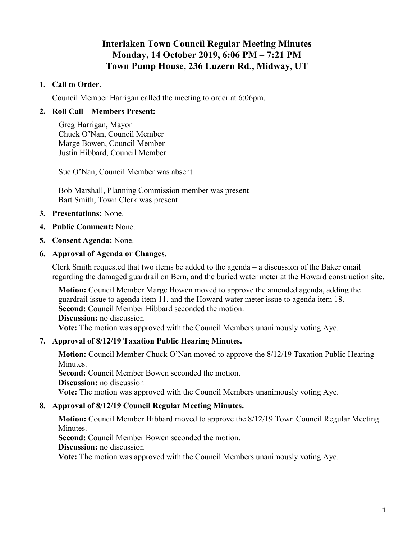# **Interlaken Town Council Regular Meeting Minutes Monday, 14 October 2019, 6:06 PM – 7:21 PM Town Pump House, 236 Luzern Rd., Midway, UT**

## **1. Call to Order**.

Council Member Harrigan called the meeting to order at 6:06pm.

## **2. Roll Call – Members Present:**

Greg Harrigan, Mayor Chuck O'Nan, Council Member Marge Bowen, Council Member Justin Hibbard, Council Member

Sue O'Nan, Council Member was absent

Bob Marshall, Planning Commission member was present Bart Smith, Town Clerk was present

- **3. Presentations:** None.
- **4. Public Comment:** None.
- **5. Consent Agenda:** None.

### **6. Approval of Agenda or Changes.**

Clerk Smith requested that two items be added to the agenda – a discussion of the Baker email regarding the damaged guardrail on Bern, and the buried water meter at the Howard construction site.

**Motion:** Council Member Marge Bowen moved to approve the amended agenda, adding the guardrail issue to agenda item 11, and the Howard water meter issue to agenda item 18. **Second:** Council Member Hibbard seconded the motion. **Discussion:** no discussion **Vote:** The motion was approved with the Council Members unanimously voting Aye.

### **7. Approval of 8/12/19 Taxation Public Hearing Minutes.**

**Motion:** Council Member Chuck O'Nan moved to approve the 8/12/19 Taxation Public Hearing Minutes. **Second:** Council Member Bowen seconded the motion. **Discussion:** no discussion **Vote:** The motion was approved with the Council Members unanimously voting Aye.

### **8. Approval of 8/12/19 Council Regular Meeting Minutes.**

**Motion:** Council Member Hibbard moved to approve the 8/12/19 Town Council Regular Meeting Minutes.

**Second:** Council Member Bowen seconded the motion.

**Discussion:** no discussion

**Vote:** The motion was approved with the Council Members unanimously voting Aye.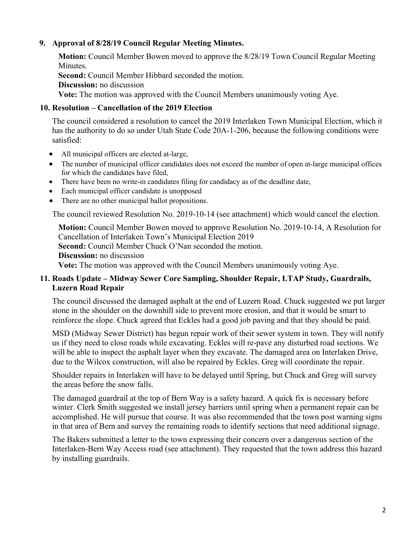## **9. Approval of 8/28/19 Council Regular Meeting Minutes.**

**Motion:** Council Member Bowen moved to approve the 8/28/19 Town Council Regular Meeting Minutes.

**Second:** Council Member Hibbard seconded the motion.

**Discussion:** no discussion

**Vote:** The motion was approved with the Council Members unanimously voting Aye.

# **10. Resolution – Cancellation of the 2019 Election**

The council considered a resolution to cancel the 2019 Interlaken Town Municipal Election, which it has the authority to do so under Utah State Code 20A-1-206, because the following conditions were satisfied:

- All municipal officers are elected at-large,
- The number of municipal officer candidates does not exceed the number of open at-large municipal offices for which the candidates have filed,
- There have been no write-in candidates filing for candidacy as of the deadline date,
- Each municipal officer candidate is unopposed
- There are no other municipal ballot propositions.

The council reviewed Resolution No. 2019-10-14 (see attachment) which would cancel the election.

**Motion:** Council Member Bowen moved to approve Resolution No. 2019-10-14, A Resolution for Cancellation of Interlaken Town's Municipal Election 2019 **Second:** Council Member Chuck O'Nan seconded the motion. **Discussion:** no discussion **Vote:** The motion was approved with the Council Members unanimously voting Aye.

# **11. Roads Update – Midway Sewer Core Sampling, Shoulder Repair, LTAP Study, Guardrails, Luzern Road Repair**

The council discussed the damaged asphalt at the end of Luzern Road. Chuck suggested we put larger stone in the shoulder on the downhill side to prevent more erosion, and that it would be smart to reinforce the slope. Chuck agreed that Eckles had a good job paving and that they should be paid.

MSD (Midway Sewer District) has begun repair work of their sewer system in town. They will notify us if they need to close roads while excavating. Eckles will re-pave any disturbed road sections. We will be able to inspect the asphalt layer when they excavate. The damaged area on Interlaken Drive, due to the Wilcox construction, will also be repaired by Eckles. Greg will coordinate the repair.

Shoulder repairs in Interlaken will have to be delayed until Spring, but Chuck and Greg will survey the areas before the snow falls.

The damaged guardrail at the top of Bern Way is a safety hazard. A quick fix is necessary before winter. Clerk Smith suggested we install jersey barriers until spring when a permanent repair can be accomplished. He will pursue that course. It was also recommended that the town post warning signs in that area of Bern and survey the remaining roads to identify sections that need additional signage.

The Bakers submitted a letter to the town expressing their concern over a dangerous section of the Interlaken-Bern Way Access road (see attachment). They requested that the town address this hazard by installing guardrails.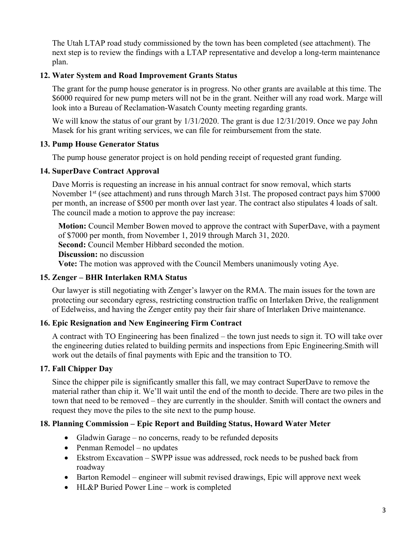The Utah LTAP road study commissioned by the town has been completed (see attachment). The next step is to review the findings with a LTAP representative and develop a long-term maintenance plan.

# **12. Water System and Road Improvement Grants Status**

The grant for the pump house generator is in progress. No other grants are available at this time. The \$6000 required for new pump meters will not be in the grant. Neither will any road work. Marge will look into a Bureau of Reclamation-Wasatch County meeting regarding grants.

We will know the status of our grant by  $1/31/2020$ . The grant is due 12/31/2019. Once we pay John Masek for his grant writing services, we can file for reimbursement from the state.

# **13. Pump House Generator Status**

The pump house generator project is on hold pending receipt of requested grant funding.

# **14. SuperDave Contract Approval**

Dave Morris is requesting an increase in his annual contract for snow removal, which starts November 1<sup>st</sup> (see attachment) and runs through March 31st. The proposed contract pays him \$7000 per month, an increase of \$500 per month over last year. The contract also stipulates 4 loads of salt. The council made a motion to approve the pay increase:

**Motion:** Council Member Bowen moved to approve the contract with SuperDave, with a payment of \$7000 per month, from November 1, 2019 through March 31, 2020. **Second:** Council Member Hibbard seconded the motion. **Discussion:** no discussion **Vote:** The motion was approved with the Council Members unanimously voting Aye.

# **15. Zenger – BHR Interlaken RMA Status**

Our lawyer is still negotiating with Zenger's lawyer on the RMA. The main issues for the town are protecting our secondary egress, restricting construction traffic on Interlaken Drive, the realignment of Edelweiss, and having the Zenger entity pay their fair share of Interlaken Drive maintenance.

# **16. Epic Resignation and New Engineering Firm Contract**

A contract with TO Engineering has been finalized – the town just needs to sign it. TO will take over the engineering duties related to building permits and inspections from Epic Engineering.Smith will work out the details of final payments with Epic and the transition to TO.

# **17. Fall Chipper Day**

Since the chipper pile is significantly smaller this fall, we may contract SuperDave to remove the material rather than chip it. We'll wait until the end of the month to decide. There are two piles in the town that need to be removed – they are currently in the shoulder. Smith will contact the owners and request they move the piles to the site next to the pump house.

# **18. Planning Commission – Epic Report and Building Status, Howard Water Meter**

- Gladwin Garage no concerns, ready to be refunded deposits
- Penman Remodel no updates
- Ekstrom Excavation SWPP issue was addressed, rock needs to be pushed back from roadway
- Barton Remodel engineer will submit revised drawings, Epic will approve next week
- HL&P Buried Power Line work is completed